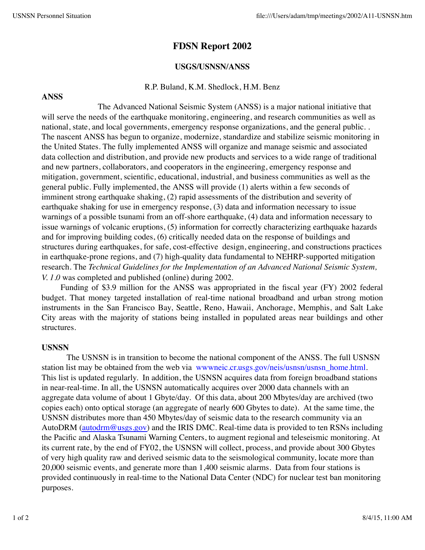# **FDSN Report 2002**

## **USGS/USNSN/ANSS**

### R.P. Buland, K.M. Shedlock, H.M. Benz

#### **ANSS**

The Advanced National Seismic System (ANSS) is a major national initiative that will serve the needs of the earthquake monitoring, engineering, and research communities as well as national, state, and local governments, emergency response organizations, and the general public. . The nascent ANSS has begun to organize, modernize, standardize and stabilize seismic monitoring in the United States. The fully implemented ANSS will organize and manage seismic and associated data collection and distribution, and provide new products and services to a wide range of traditional and new partners, collaborators, and cooperators in the engineering, emergency response and mitigation, government, scientific, educational, industrial, and business communities as well as the general public. Fully implemented, the ANSS will provide (1) alerts within a few seconds of imminent strong earthquake shaking, (2) rapid assessments of the distribution and severity of earthquake shaking for use in emergency response, (3) data and information necessary to issue warnings of a possible tsunami from an off-shore earthquake, (4) data and information necessary to issue warnings of volcanic eruptions, (5) information for correctly characterizing earthquake hazards and for improving building codes, (6) critically needed data on the response of buildings and structures during earthquakes, for safe, cost-effective design, engineering, and constructions practices in earthquake-prone regions, and (7) high-quality data fundamental to NEHRP-supported mitigation research. The *Technical Guidelines for the Implementation of an Advanced National Seismic System, V. 1.0* was completed and published (online) during 2002.

Funding of \$3.9 million for the ANSS was appropriated in the fiscal year (FY) 2002 federal budget. That money targeted installation of real-time national broadband and urban strong motion instruments in the San Francisco Bay, Seattle, Reno, Hawaii, Anchorage, Memphis, and Salt Lake City areas with the majority of stations being installed in populated areas near buildings and other structures.

#### **USNSN**

The USNSN is in transition to become the national component of the ANSS. The full USNSN station list may be obtained from the web via www.neic.cr.usgs.gov/neis/usnsn/usnsn\_home.html. This list is updated regularly. In addition, the USNSN acquires data from foreign broadband stations in near-real-time. In all, the USNSN automatically acquires over 2000 data channels with an aggregate data volume of about 1 Gbyte/day. Of this data, about 200 Mbytes/day are archived (two copies each) onto optical storage (an aggregate of nearly 600 Gbytes to date). At the same time, the USNSN distributes more than 450 Mbytes/day of seismic data to the research community via an AutoDRM (autodrm@usgs.gov) and the IRIS DMC. Real-time data is provided to ten RSNs including the Pacific and Alaska Tsunami Warning Centers, to augment regional and teleseismic monitoring. At its current rate, by the end of FY02, the USNSN will collect, process, and provide about 300 Gbytes of very high quality raw and derived seismic data to the seismological community, locate more than 20,000 seismic events, and generate more than 1,400 seismic alarms. Data from four stations is provided continuously in real-time to the National Data Center (NDC) for nuclear test ban monitoring purposes.